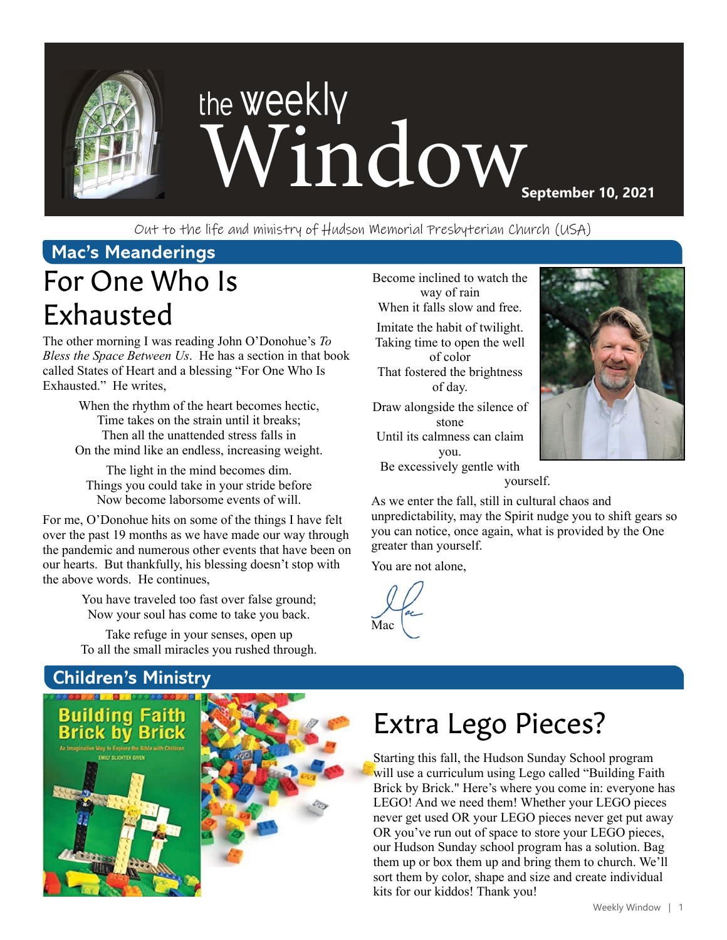

Out to the life and ministry of Hudson Memorial Presbyterian Church (USA)

## **Mac's Meanderings**

## For One Who Is Exhausted

The other morning I was reading John O'Donohue's *To Bless the Space Between Us*. He has a section in that book called States of Heart and a blessing "For One Who Is Exhausted." He writes,

> When the rhythm of the heart becomes hectic, Time takes on the strain until it breaks; Then all the unattended stress falls in On the mind like an endless, increasing weight.

The light in the mind becomes dim. Things you could take in your stride before Now become laborsome events of will.

For me, O'Donohue hits on some of the things I have felt over the past 19 months as we have made our way through the pandemic and numerous other events that have been on our hearts. But thankfully, his blessing doesn't stop with the above words. He continues,

> You have traveled too fast over false ground; Now your soul has come to take you back.

> Take refuge in your senses, open up To all the small miracles you rushed through.

**Children's Ministry**

ding Faith **Brick by Brick** 



Become inclined to watch the way of rain When it falls slow and free. Imitate the habit of twilight. Taking time to open the well of color That fostered the brightness of day. Draw alongside the silence of stone Until its calmness can claim you. Be excessively gentle with



As we enter the fall, still in cultural chaos and unpredictability, may the Spirit nudge you to shift gears so you can notice, once again, what is provided by the One greater than yourself.

yourself.

You are not alone,

Mac

Extra Lego Pieces?

Starting this fall, the Hudson Sunday School program will use a curriculum using Lego called "Building Faith" Brick by Brick." Here's where you come in: everyone has LEGO! And we need them! Whether your LEGO pieces never get used OR your LEGO pieces never get put away OR you've run out of space to store your LEGO pieces, our Hudson Sunday school program has a solution. Bag them up or box them up and bring them to church. We'll sort them by color, shape and size and create individual kits for our kiddos! Thank you!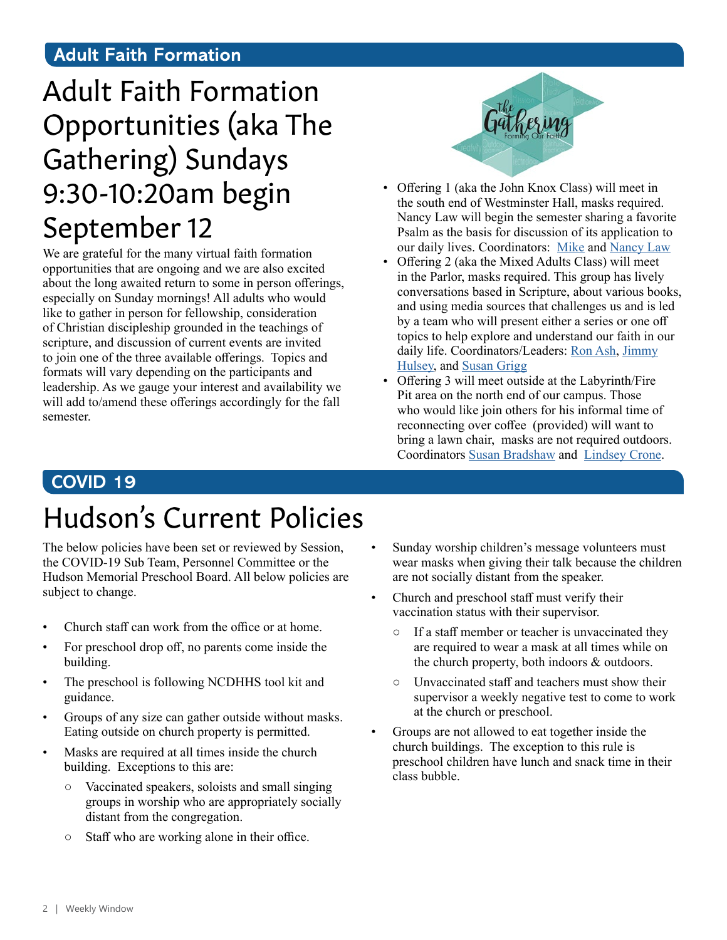#### **Adult Faith Formation**

## Adult Faith Formation Opportunities (aka The Gathering) Sundays 9:30-10:20am begin September 12

We are grateful for the many virtual faith formation opportunities that are ongoing and we are also excited about the long awaited return to some in person offerings, especially on Sunday mornings! All adults who would like to gather in person for fellowship, consideration of Christian discipleship grounded in the teachings of scripture, and discussion of current events are invited to join one of the three available offerings. Topics and formats will vary depending on the participants and leadership. As we gauge your interest and availability we will add to/amend these offerings accordingly for the fall semester.



- Offering 1 (aka the John Knox Class) will meet in the south end of Westminster Hall, masks required. Nancy Law will begin the semester sharing a favorite Psalm as the basis for discussion of its application to our daily lives. Coordinators: [Mike](http://ddelaw1965@verizon.net) and [Nancy Law](http://nlaw1965@verizon.net)
- Offering 2 (aka the Mixed Adults Class) will meet in the Parlor, masks required. This group has lively conversations based in Scripture, about various books, and using media sources that challenges us and is led by a team who will present either a series or one off topics to help explore and understand our faith in our daily life. Coordinators/Leaders: [Ron Ash,](mailto:ronpeeps%40gmail.com?subject=) [Jimmy](mailto:zwihulsey%40gmail.com?subject=) [Hulsey](mailto:zwihulsey%40gmail.com?subject=), and [Susan Grigg](mailto:irismom1%40att.net?subject=)
- Offering 3 will meet outside at the Labyrinth/Fire Pit area on the north end of our campus. Those who would like join others for his informal time of reconnecting over coffee (provided) will want to bring a lawn chair, masks are not required outdoors. Coordinators [Susan Bradshaw](mailto:susanbradshaw8%40gmail.com?subject=) and [Lindsey Crone](mailto:logden87%40gmail.com?subject=).

#### **COVID 19**

## Hudson's Current Policies

The below policies have been set or reviewed by Session, the COVID-19 Sub Team, Personnel Committee or the Hudson Memorial Preschool Board. All below policies are subject to change.

- Church staff can work from the office or at home.
- For preschool drop off, no parents come inside the building.
- The preschool is following NCDHHS tool kit and guidance.
- Groups of any size can gather outside without masks. Eating outside on church property is permitted.
- Masks are required at all times inside the church building. Exceptions to this are:
	- Vaccinated speakers, soloists and small singing groups in worship who are appropriately socially distant from the congregation.
	- Staff who are working alone in their office.
- Sunday worship children's message volunteers must wear masks when giving their talk because the children are not socially distant from the speaker.
- Church and preschool staff must verify their vaccination status with their supervisor.
	- If a staff member or teacher is unvaccinated they are required to wear a mask at all times while on the church property, both indoors & outdoors.
	- Unvaccinated staff and teachers must show their supervisor a weekly negative test to come to work at the church or preschool.
- Groups are not allowed to eat together inside the church buildings. The exception to this rule is preschool children have lunch and snack time in their class bubble.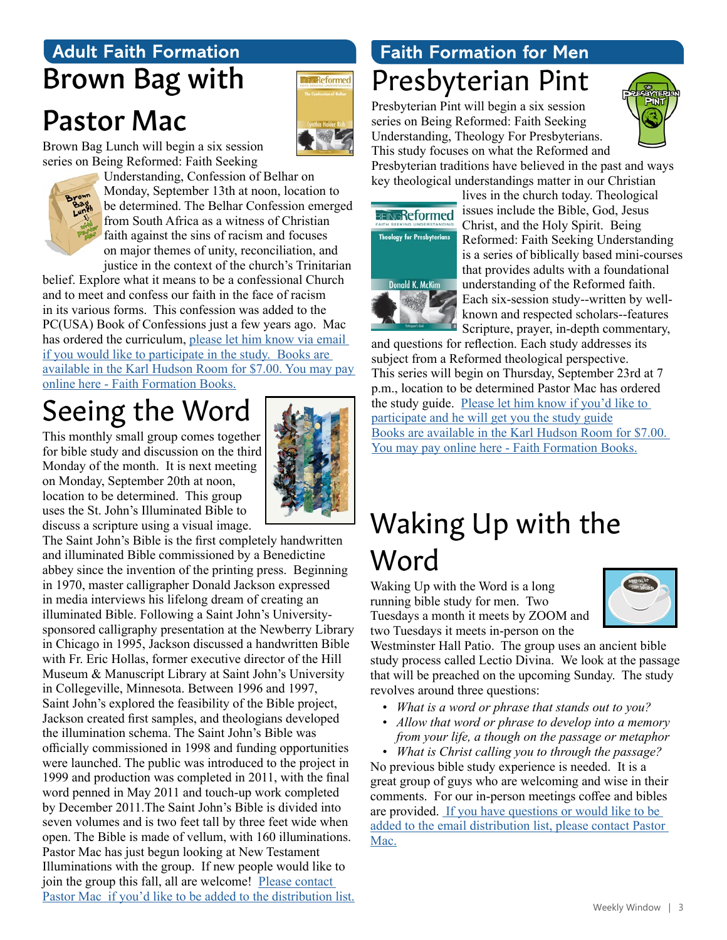## **Adult Faith Formation** Brown Bag with

## Pastor Mac



Brown Bag Lunch will begin a six session series on Being Reformed: Faith Seeking



Understanding, Confession of Belhar on Monday, September 13th at noon, location to be determined. The Belhar Confession emerged from South Africa as a witness of Christian faith against the sins of racism and focuses on major themes of unity, reconciliation, and justice in the context of the church's Trinitarian

belief. Explore what it means to be a confessional Church and to meet and confess our faith in the face of racism in its various forms. This confession was added to the PC(USA) Book of Confessions just a few years ago. Mac has ordered the curriculum, please let him know via email [if you would like to participate in the study.](mailto:mschafer%40hmpc.org?subject=) [Books are](mailto:https://www.eservicepayments.com/cgi-bin/Vanco_ver3.vps%3Fappver3%3DFi1giPL8kwX_Oe1AO50jRnQ574HZh5kFEHVJ6e5We_Us4NSQukCYDzKLUtTTUlsf2EvVVAEjqawDomKT1pbouTsRltlX7QEmZN4jxtbsYBc%3D%26ver%3D3?subject=)  [available in the Karl Hudson Room for \\$7.00. You may pay](mailto:https://www.eservicepayments.com/cgi-bin/Vanco_ver3.vps%3Fappver3%3DFi1giPL8kwX_Oe1AO50jRnQ574HZh5kFEHVJ6e5We_Us4NSQukCYDzKLUtTTUlsf2EvVVAEjqawDomKT1pbouTsRltlX7QEmZN4jxtbsYBc%3D%26ver%3D3?subject=)  [online here](mailto:https://www.eservicepayments.com/cgi-bin/Vanco_ver3.vps%3Fappver3%3DFi1giPL8kwX_Oe1AO50jRnQ574HZh5kFEHVJ6e5We_Us4NSQukCYDzKLUtTTUlsf2EvVVAEjqawDomKT1pbouTsRltlX7QEmZN4jxtbsYBc%3D%26ver%3D3?subject=) - Faith Formation Books.

## Seeing the Word

This monthly small group comes together for bible study and discussion on the third Monday of the month. It is next meeting on Monday, September 20th at noon, location to be determined. This group uses the St. John's Illuminated Bible to discuss a scripture using a visual image.



The Saint John's Bible is the first completely handwritten and illuminated Bible commissioned by a Benedictine abbey since the invention of the printing press. Beginning in 1970, master calligrapher Donald Jackson expressed in media interviews his lifelong dream of creating an illuminated Bible. Following a Saint John's Universitysponsored calligraphy presentation at the Newberry Library in Chicago in 1995, Jackson discussed a handwritten Bible with Fr. Eric Hollas, former executive director of the Hill Museum & Manuscript Library at Saint John's University in Collegeville, Minnesota. Between 1996 and 1997, Saint John's explored the feasibility of the Bible project, Jackson created first samples, and theologians developed the illumination schema. The Saint John's Bible was officially commissioned in 1998 and funding opportunities were launched. The public was introduced to the project in 1999 and production was completed in 2011, with the final word penned in May 2011 and touch-up work completed by December 2011.The Saint John's Bible is divided into seven volumes and is two feet tall by three feet wide when open. The Bible is made of vellum, with 160 illuminations. Pastor Mac has just begun looking at New Testament Illuminations with the group. If new people would like to join the group this fall, all are welcome! Please contact [Pastor Mac if you'd like to be added to the distribution list.](mailto:mschafer%40hmpc.org?subject=)

## Presbyterian Pint **Faith Formation for Men**

Presbyterian Pint will begin a six session series on Being Reformed: Faith Seeking Understanding, Theology For Presbyterians. This study focuses on what the Reformed and



Presbyterian traditions have believed in the past and ways key theological understandings matter in our Christian



lives in the church today. Theological issues include the Bible, God, Jesus Christ, and the Holy Spirit. Being Reformed: Faith Seeking Understanding is a series of biblically based mini-courses that provides adults with a foundational understanding of the Reformed faith. Each six-session study--written by wellknown and respected scholars--features Scripture, prayer, in-depth commentary,

and questions for reflection. Each study addresses its subject from a Reformed theological perspective. This series will begin on Thursday, September 23rd at 7 p.m., location to be determined Pastor Mac has ordered the study guide. [Please let him know if you'd like to](mailto:mschafer%40hmpc.org?subject=)  [participate and he will get you the study guide](mailto:mschafer%40hmpc.org?subject=) [Books are available in the Karl Hudson Room for \\$7.00.](mailto:https://www.eservicepayments.com/cgi-bin/Vanco_ver3.vps%3Fappver3%3DFi1giPL8kwX_Oe1AO50jRnQ574HZh5kFEHVJ6e5We_Us4NSQukCYDzKLUtTTUlsf2EvVVAEjqawDomKT1pbouTsRltlX7QEmZN4jxtbsYBc%3D%26ver%3D3?subject=)  [You may pay online here](mailto:https://www.eservicepayments.com/cgi-bin/Vanco_ver3.vps%3Fappver3%3DFi1giPL8kwX_Oe1AO50jRnQ574HZh5kFEHVJ6e5We_Us4NSQukCYDzKLUtTTUlsf2EvVVAEjqawDomKT1pbouTsRltlX7QEmZN4jxtbsYBc%3D%26ver%3D3?subject=) - Faith Formation Books.

## Waking Up with the Word

Waking Up with the Word is a long running bible study for men. Two Tuesdays a month it meets by ZOOM and two Tuesdays it meets in-person on the



Westminster Hall Patio. The group uses an ancient bible study process called Lectio Divina. We look at the passage that will be preached on the upcoming Sunday. The study revolves around three questions:

- *• What is a word or phrase that stands out to you?*
- *• Allow that word or phrase to develop into a memory from your life, a though on the passage or metaphor*
- *• What is Christ calling you to through the passage?* No previous bible study experience is needed. It is a great group of guys who are welcoming and wise in their comments. For our in-person meetings coffee and bibles are provided. [If you have questions or would like to be](mailto:mschafer%40hmpc.org?subject=)  [added to the email distribution list, please contact Pastor](mailto:mschafer%40hmpc.org?subject=)  [Mac.](mailto:mschafer%40hmpc.org?subject=)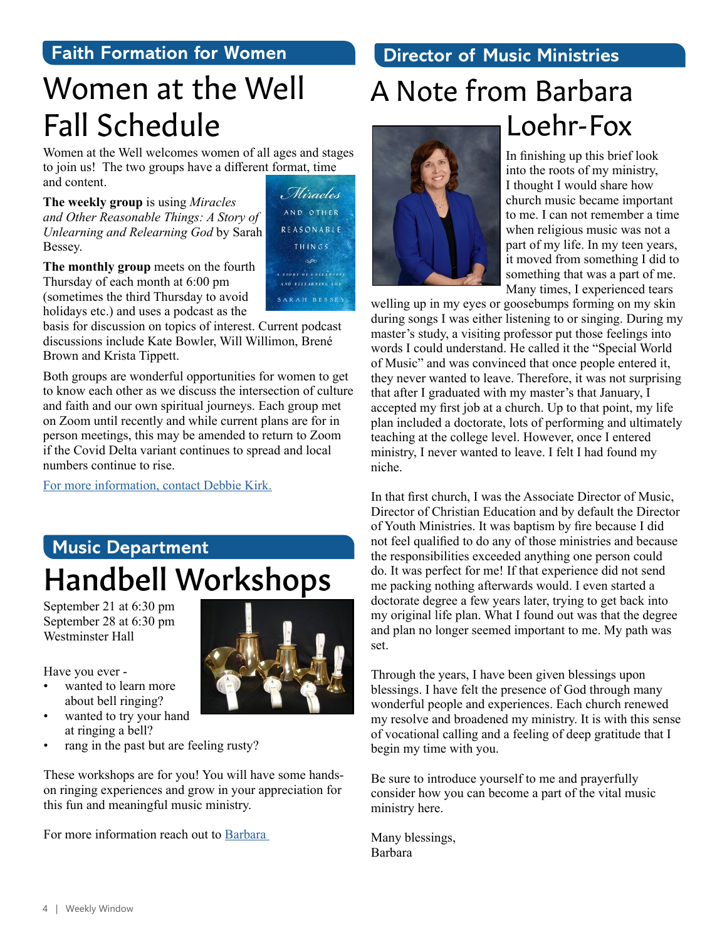#### **Faith Formation for Women**

## Women at the Well Fall Schedule

Women at the Well welcomes women of all ages and stages to join us! The two groups have a different format, time and content.

**The weekly group** is using *Miracles and Other Reasonable Things: A Story of Unlearning and Relearning God* by Sarah Bessey.

Hiracles AND OTHER REASONABLE THINGS AND BELEARNING COD SARAH BESSEY

**The monthly group** meets on the fourth Thursday of each month at 6:00 pm (sometimes the third Thursday to avoid holidays etc.) and uses a podcast as the

basis for discussion on topics of interest. Current podcast discussions include Kate Bowler, Will Willimon, Brené Brown and Krista Tippett.

Both groups are wonderful opportunities for women to get to know each other as we discuss the intersection of culture and faith and our own spiritual journeys. Each group met on Zoom until recently and while current plans are for in person meetings, this may be amended to return to Zoom if the Covid Delta variant continues to spread and local numbers continue to rise.

[For more information, contact Debbie Kirk.](mailto:dkirk%40hmpc.org?subject=)

## **Music Department** Handbell Workshops

September 21 at 6:30 pm September 28 at 6:30 pm Westminster Hall

Have you ever -

- wanted to learn more about bell ringing?
- wanted to try your hand at ringing a bell?
- rang in the past but are feeling rusty?

These workshops are for you! You will have some handson ringing experiences and grow in your appreciation for this fun and meaningful music ministry.

For more information reach out to Barbara



#### **Director of Music Ministries**

## A Note from Barbara Loehr-Fox



In finishing up this brief look into the roots of my ministry, I thought I would share how church music became important to me. I can not remember a time when religious music was not a part of my life. In my teen years, it moved from something I did to something that was a part of me. Many times, I experienced tears

welling up in my eyes or goosebumps forming on my skin during songs I was either listening to or singing. During my master's study, a visiting professor put those feelings into words I could understand. He called it the "Special World of Music" and was convinced that once people entered it, they never wanted to leave. Therefore, it was not surprising that after I graduated with my master's that January, I accepted my first job at a church. Up to that point, my life plan included a doctorate, lots of performing and ultimately teaching at the college level. However, once I entered ministry, I never wanted to leave. I felt I had found my niche.

In that first church, I was the Associate Director of Music, Director of Christian Education and by default the Director of Youth Ministries. It was baptism by fire because I did not feel qualified to do any of those ministries and because the responsibilities exceeded anything one person could do. It was perfect for me! If that experience did not send me packing nothing afterwards would. I even started a doctorate degree a few years later, trying to get back into my original life plan. What I found out was that the degree and plan no longer seemed important to me. My path was set.

Through the years, I have been given blessings upon blessings. I have felt the presence of God through many wonderful people and experiences. Each church renewed my resolve and broadened my ministry. It is with this sense of vocational calling and a feeling of deep gratitude that I begin my time with you.

Be sure to introduce yourself to me and prayerfully consider how you can become a part of the vital music ministry here.

Many blessings, Barbara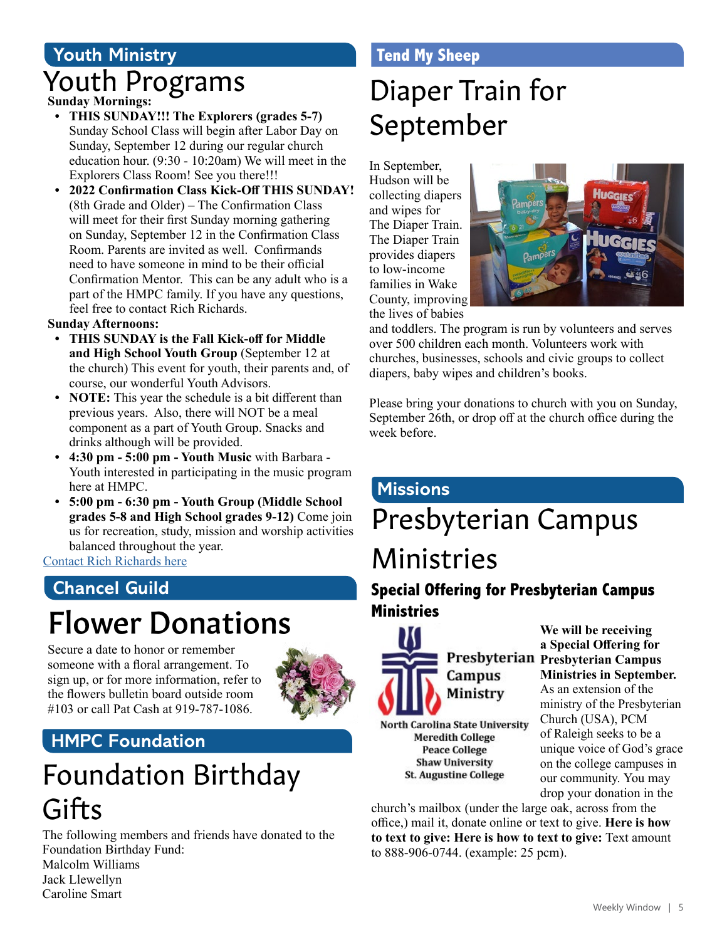## **Youth Ministry** Youth Programs

#### **Sunday Mornings:**

- **• THIS SUNDAY!!! The Explorers (grades 5-7)**  Sunday School Class will begin after Labor Day on Sunday, September 12 during our regular church education hour. (9:30 - 10:20am) We will meet in the Explorers Class Room! See you there!!!
- **• 2022 Confirmation Class Kick-Off THIS SUNDAY!**  (8th Grade and Older) – The Confirmation Class will meet for their first Sunday morning gathering on Sunday, September 12 in the Confirmation Class Room. Parents are invited as well. Confirmands need to have someone in mind to be their official Confirmation Mentor. This can be any adult who is a part of the HMPC family. If you have any questions, feel free to contact Rich Richards.

#### **Sunday Afternoons:**

- **• THIS SUNDAY is the Fall Kick-off for Middle and High School Youth Group** (September 12 at the church) This event for youth, their parents and, of course, our wonderful Youth Advisors.
- **• NOTE:** This year the schedule is a bit different than previous years. Also, there will NOT be a meal component as a part of Youth Group. Snacks and drinks although will be provided.
- **• 4:30 pm 5:00 pm Youth Music** with Barbara Youth interested in participating in the music program here at HMPC.
- **• 5:00 pm 6:30 pm Youth Group (Middle School grades 5-8 and High School grades 9-12)** Come join us for recreation, study, mission and worship activities balanced throughout the year.

[Contact Rich Richards here](mailto:rrichards%40hmpc.org?subject=)

## **Chancel Guild**

## Flower Donations

Secure a date to honor or remember someone with a floral arrangement. To sign up, or for more information, refer to the flowers bulletin board outside room #103 or call Pat Cash at 919-787-1086.



#### **HMPC Foundation**

## Foundation Birthday **Gifts**

The following members and friends have donated to the Foundation Birthday Fund: Malcolm Williams

Jack Llewellyn Caroline Smart

#### **Tend My Sheep**

## Diaper Train for September

In September, Hudson will be collecting diapers and wipes for The Diaper Train. The Diaper Train provides diapers to low-income families in Wake County, improving the lives of babies



and toddlers. The program is run by volunteers and serves over 500 children each month. Volunteers work with churches, businesses, schools and civic groups to collect diapers, baby wipes and children's books.

Please bring your donations to church with you on Sunday, September 26th, or drop off at the church office during the week before.

#### **Missions**

## Presbyterian Campus Ministries

#### **Special Offering for Presbyterian Campus Ministries**



Campus Ministry

North Carolina State University **Meredith College Peace College Shaw University St. Augustine College** 

drop your donation in the church's mailbox (under the large oak, across from the office,) mail it, donate online or text to give. **Here is how to text to give: Here is how to text to give:** Text amount to 888-906-0744. (example: 25 pcm).

**a Special Offering for Presbyterian Campus Ministries in September.** As an extension of the ministry of the Presbyterian Church (USA), PCM of Raleigh seeks to be a unique voice of God's grace

> on the college campuses in our community. You may

**We will be receiving**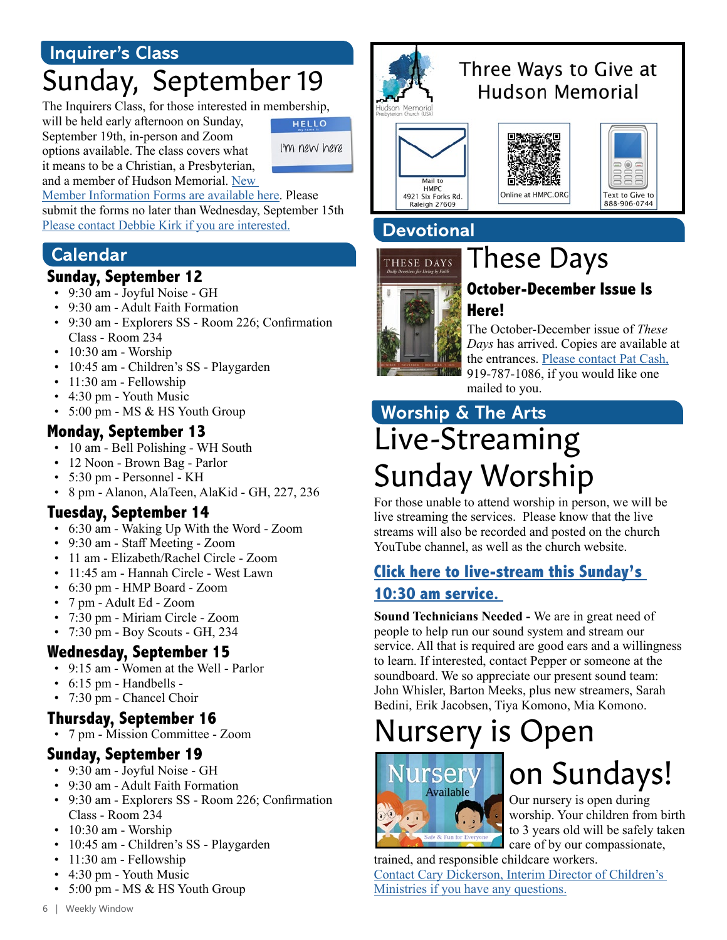#### **Inquirer's Class**

## Sunday, September 19

The Inquirers Class, for those interested in membership,

will be held early afternoon on Sunday, September 19th, in-person and Zoom options available. The class covers what it means to be a Christian, a Presbyterian, and a member of Hudson Memorial. New

**HELLO** I'm new here

Member Information Forms are available here. Please submit the forms no later than Wednesday, September 15th Please contact Debbie Kirk if you are interested.

#### **Calendar**

#### **Sunday, September 12**

- 9:30 am Joyful Noise GH
- 9:30 am Adult Faith Formation
- 9:30 am Explorers SS Room 226; Confirmation Class - Room 234
- 10:30 am Worship
- 10:45 am Children's SS Playgarden
- 11:30 am Fellowship
- 4:30 pm Youth Music
- 5:00 pm MS & HS Youth Group

#### **Monday, September 13**

- 10 am Bell Polishing WH South
- 12 Noon Brown Bag Parlor
- 5:30 pm Personnel KH
- 8 pm Alanon, AlaTeen, AlaKid GH, 227, 236

#### **Tuesday, September 14**

- 6:30 am Waking Up With the Word Zoom
- 9:30 am Staff Meeting Zoom
- 11 am Elizabeth/Rachel Circle Zoom
- 11:45 am Hannah Circle West Lawn
- 6:30 pm HMP Board Zoom
- 7 pm Adult Ed Zoom
- 7:30 pm Miriam Circle Zoom
- 7:30 pm Boy Scouts GH, 234

#### **Wednesday, September 15**

- 9:15 am Women at the Well Parlor
- 6:15 pm Handbells -
- 7:30 pm Chancel Choir

#### **Thursday, September 16**

• 7 pm - Mission Committee - Zoom

#### **Sunday, September 19**

- 9:30 am Joyful Noise GH
- 9:30 am Adult Faith Formation
- 9:30 am Explorers SS Room 226; Confirmation Class - Room 234
- 10:30 am Worship
- 10:45 am Children's SS Playgarden
- 11:30 am Fellowship
- 4:30 pm Youth Music
- 5:00 pm MS & HS Youth Group



### Three Ways to Give at Hudson Memorial







**Devotional**

# THESE DAYS

## These Days

#### **October-December Issue Is Here!**

The October-December issue of *These Days* has arrived. Copies are available at the entrances. [Please contact Pat Cash,](mailto:pcash%40hmpc.org?subject=) 919-787-1086, if you would like one mailed to you.

## Live-Streaming Sunday Worship **Worship & The Arts**

For those unable to attend worship in person, we will be live streaming the services. Please know that the live streams will also be recorded and posted on the church YouTube channel, as well as the church website.

#### **[Click here to live-stream this Sunday's](https://www.youtube.com/channel/UCuYf7XqKx9g_Mc0_BsPkWlA)  [10:30 am service.](https://www.youtube.com/channel/UCuYf7XqKx9g_Mc0_BsPkWlA)**

**Sound Technicians Needed -** We are in great need of people to help run our sound system and stream our service. All that is required are good ears and a willingness to learn. If interested, contact Pepper or someone at the soundboard. We so appreciate our present sound team: John Whisler, Barton Meeks, plus new streamers, Sarah Bedini, Erik Jacobsen, Tiya Komono, Mia Komono.

## Nursery is Open



## on Sundays!

Our nursery is open during worship. Your children from birth to 3 years old will be safely taken care of by our compassionate,

trained, and responsible childcare workers. [Contact Cary Dickerson, Interim Director of Children's](mailto:cdickerson%40hmpc.org?subject=)  [Ministries if you have any questions.](mailto:cdickerson%40hmpc.org?subject=)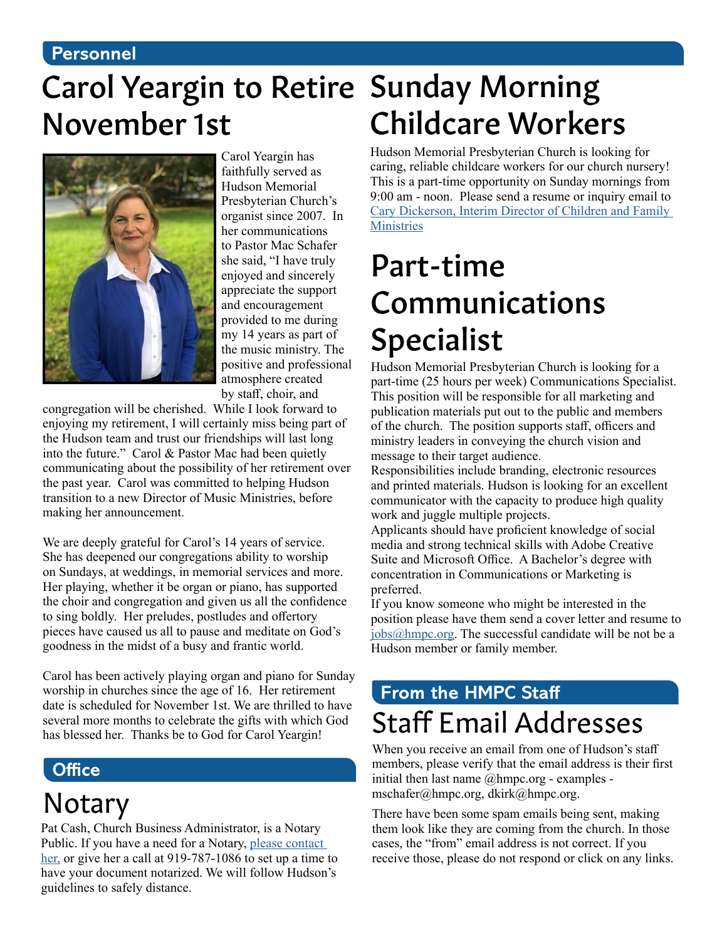#### **Personnel**

## Carol Yeargin to Retire Sunday Morning November 1st



Carol Yeargin has faithfully served as Hudson Memorial Presbyterian Church's organist since 2007. In her communications to Pastor Mac Schafer she said, "I have truly enjoyed and sincerely appreciate the support and encouragement provided to me during my 14 years as part of the music ministry. The positive and professional atmosphere created by staff, choir, and

congregation will be cherished. While I look forward to enjoying my retirement, I will certainly miss being part of the Hudson team and trust our friendships will last long into the future." Carol & Pastor Mac had been quietly communicating about the possibility of her retirement over the past year. Carol was committed to helping Hudson transition to a new Director of Music Ministries, before making her announcement.

We are deeply grateful for Carol's 14 years of service. She has deepened our congregations ability to worship on Sundays, at weddings, in memorial services and more. Her playing, whether it be organ or piano, has supported the choir and congregation and given us all the confidence to sing boldly. Her preludes, postludes and offertory pieces have caused us all to pause and meditate on God's goodness in the midst of a busy and frantic world.

Carol has been actively playing organ and piano for Sunday worship in churches since the age of 16. Her retirement date is scheduled for November 1st. We are thrilled to have several more months to celebrate the gifts with which God has blessed her. Thanks be to God for Carol Yeargin!

#### **Office**

## Notary

Pat Cash, Church Business Administrator, is a Notary Public. If you have a need for a Notary, [please contact](mailto:pcash%40hmpc.org?subject=)  [her,](mailto:pcash%40hmpc.org?subject=) or give her a call at 919-787-1086 to set up a time to have your document notarized. We will follow Hudson's guidelines to safely distance.

# Childcare Workers

Hudson Memorial Presbyterian Church is looking for caring, reliable childcare workers for our church nursery! This is a part-time opportunity on Sunday mornings from 9:00 am - noon. Please send a resume or inquiry email to [Cary Dickerson, Interim Director of Children and Family](mailto:cdickerson%40hmpc.org?subject=)  **[Ministries](mailto:cdickerson%40hmpc.org?subject=)** 

## Part-time Communications Specialist

Hudson Memorial Presbyterian Church is looking for a part-time (25 hours per week) Communications Specialist. This position will be responsible for all marketing and publication materials put out to the public and members of the church. The position supports staff, officers and ministry leaders in conveying the church vision and message to their target audience.

Responsibilities include branding, electronic resources and printed materials. Hudson is looking for an excellent communicator with the capacity to produce high quality work and juggle multiple projects.

Applicants should have proficient knowledge of social media and strong technical skills with Adobe Creative Suite and Microsoft Office. A Bachelor's degree with concentration in Communications or Marketing is preferred.

If you know someone who might be interested in the position please have them send a cover letter and resume to [jobs@hmpc.org.](mailto:jobs%40hmpc.org?subject=) The successful candidate will be not be a Hudson member or family member.

## **From the HMPC Staff** Staff Email Addresses

When you receive an email from one of Hudson's staff members, please verify that the email address is their first initial then last name  $@$ hmpc.org - examples mschafer@hmpc.org, dkirk@hmpc.org.

There have been some spam emails being sent, making them look like they are coming from the church. In those cases, the "from" email address is not correct. If you receive those, please do not respond or click on any links.